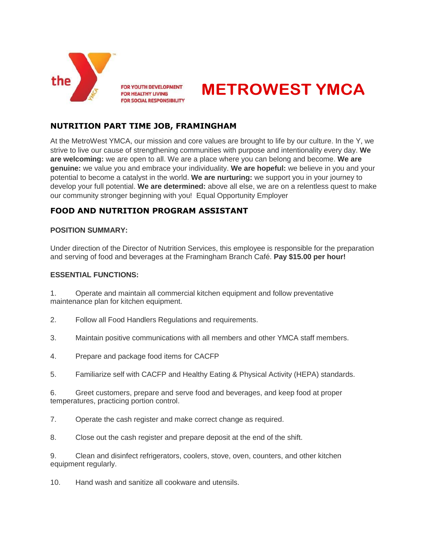

**FOR YOUTH DEVELOPMENT FOR HEALTHY LIVING FOR SOCIAL RESPONSIBILITY** 



## **NUTRITION PART TIME JOB, FRAMINGHAM**

At the MetroWest YMCA, our mission and core values are brought to life by our culture. In the Y, we strive to live our cause of strengthening communities with purpose and intentionality every day. **We are welcoming:** we are open to all. We are a place where you can belong and become. **We are genuine:** we value you and embrace your individuality. **We are hopeful:** we believe in you and your potential to become a catalyst in the world. **We are nurturing:** we support you in your journey to develop your full potential. **We are determined:** above all else, we are on a relentless quest to make our community stronger beginning with you! Equal Opportunity Employer

# **FOOD AND NUTRITION PROGRAM ASSISTANT**

## **POSITION SUMMARY:**

Under direction of the Director of Nutrition Services, this employee is responsible for the preparation and serving of food and beverages at the Framingham Branch Café. **Pay \$15.00 per hour!**

#### **ESSENTIAL FUNCTIONS:**

1. Operate and maintain all commercial kitchen equipment and follow preventative maintenance plan for kitchen equipment.

- 2. Follow all Food Handlers Regulations and requirements.
- 3. Maintain positive communications with all members and other YMCA staff members.
- 4. Prepare and package food items for CACFP
- 5. Familiarize self with CACFP and Healthy Eating & Physical Activity (HEPA) standards.
- 6. Greet customers, prepare and serve food and beverages, and keep food at proper temperatures, practicing portion control.
- 7. Operate the cash register and make correct change as required.
- 8. Close out the cash register and prepare deposit at the end of the shift.
- 9. Clean and disinfect refrigerators, coolers, stove, oven, counters, and other kitchen equipment regularly.

10. Hand wash and sanitize all cookware and utensils.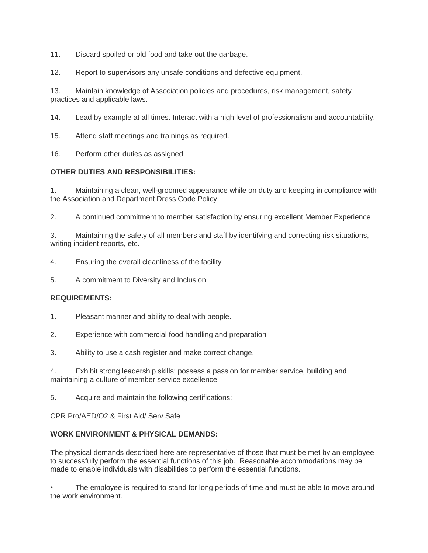11. Discard spoiled or old food and take out the garbage.

12. Report to supervisors any unsafe conditions and defective equipment.

13. Maintain knowledge of Association policies and procedures, risk management, safety practices and applicable laws.

14. Lead by example at all times. Interact with a high level of professionalism and accountability.

15. Attend staff meetings and trainings as required.

16. Perform other duties as assigned.

### **OTHER DUTIES AND RESPONSIBILITIES:**

1. Maintaining a clean, well-groomed appearance while on duty and keeping in compliance with the Association and Department Dress Code Policy

2. A continued commitment to member satisfaction by ensuring excellent Member Experience

3. Maintaining the safety of all members and staff by identifying and correcting risk situations, writing incident reports, etc.

4. Ensuring the overall cleanliness of the facility

5. A commitment to Diversity and Inclusion

#### **REQUIREMENTS:**

- 1. Pleasant manner and ability to deal with people.
- 2. Experience with commercial food handling and preparation
- 3. Ability to use a cash register and make correct change.

4. Exhibit strong leadership skills; possess a passion for member service, building and maintaining a culture of member service excellence

5. Acquire and maintain the following certifications:

CPR Pro/AED/O2 & First Aid/ Serv Safe

## **WORK ENVIRONMENT & PHYSICAL DEMANDS:**

The physical demands described here are representative of those that must be met by an employee to successfully perform the essential functions of this job. Reasonable accommodations may be made to enable individuals with disabilities to perform the essential functions.

The employee is required to stand for long periods of time and must be able to move around the work environment.